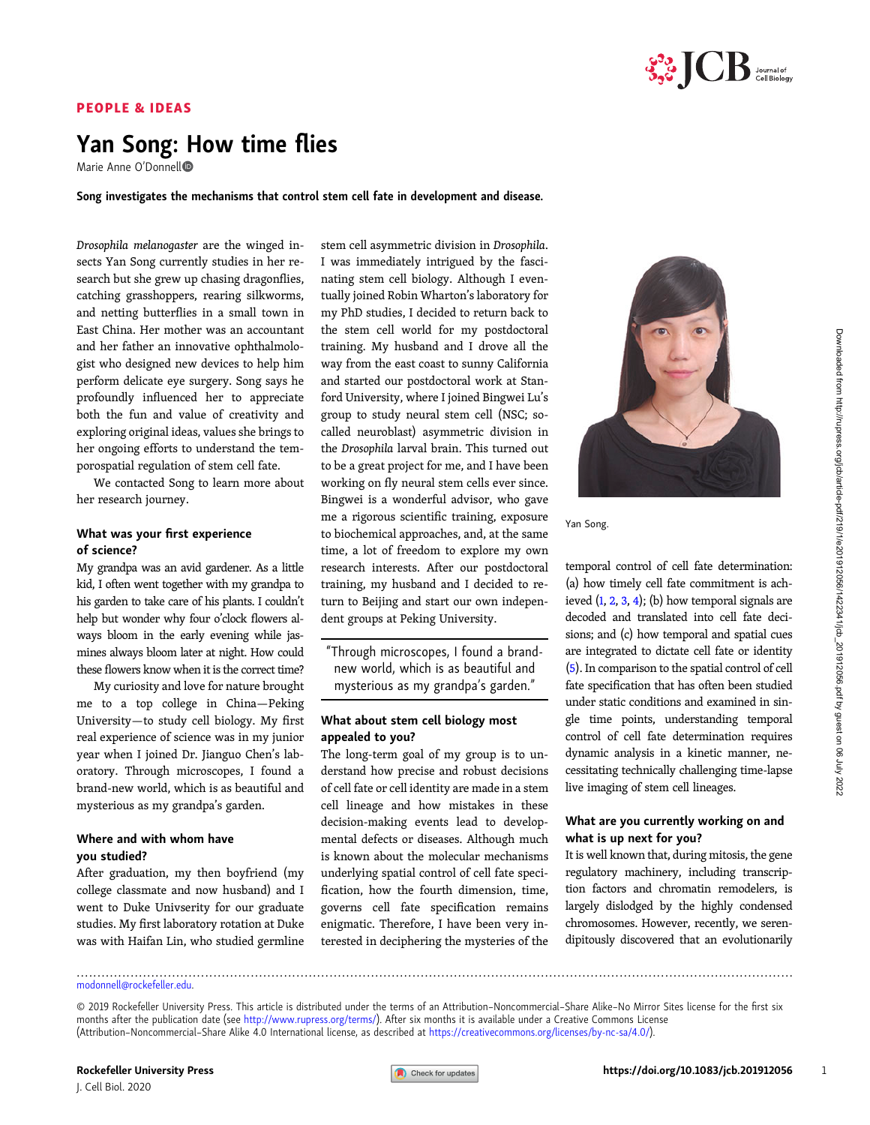

# PEOPLE & IDEAS

# Yan Song: How time flies

Marie Anne O'Donnell

Song investigates the mechanisms that control stem cell fate in development and disease.

Drosophila melanogaster are the winged insects Yan Song currently studies in her research but she grew up chasing dragonflies, catching grasshoppers, rearing silkworms, and netting butterflies in a small town in East China. Her mother was an accountant and her father an innovative ophthalmologist who designed new devices to help him perform delicate eye surgery. Song says he profoundly influenced her to appreciate both the fun and value of creativity and exploring original ideas, values she brings to her ongoing efforts to understand the temporospatial regulation of stem cell fate.

We contacted Song to learn more about her research journey.

#### What was your first experience of science?

My grandpa was an avid gardener. As a little kid, I often went together with my grandpa to his garden to take care of his plants. I couldn't help but wonder why four o'clock flowers always bloom in the early evening while jasmines always bloom later at night. How could these flowers know when it is the correct time?

My curiosity and love for nature brought me to a top college in China—Peking University—to study cell biology. My first real experience of science was in my junior year when I joined Dr. Jianguo Chen's laboratory. Through microscopes, I found a brand-new world, which is as beautiful and mysterious as my grandpa's garden.

# Where and with whom have you studied?

After graduation, my then boyfriend (my college classmate and now husband) and I went to Duke Univserity for our graduate studies. My first laboratory rotation at Duke was with Haifan Lin, who studied germline stem cell asymmetric division in Drosophila. I was immediately intrigued by the fascinating stem cell biology. Although I eventually joined Robin Wharton's laboratory for my PhD studies, I decided to return back to the stem cell world for my postdoctoral training. My husband and I drove all the way from the east coast to sunny California and started our postdoctoral work at Stanford University, where I joined Bingwei Lu's group to study neural stem cell (NSC; socalled neuroblast) asymmetric division in the Drosophila larval brain. This turned out to be a great project for me, and I have been working on fly neural stem cells ever since. Bingwei is a wonderful advisor, who gave me a rigorous scientific training, exposure to biochemical approaches, and, at the same time, a lot of freedom to explore my own research interests. After our postdoctoral training, my husband and I decided to return to Beijing and start our own independent groups at Peking University.

"Through microscopes, I found a brandnew world, which is as beautiful and mysterious as my grandpa's garden."

#### What about stem cell biology most appealed to you?

The long-term goal of my group is to understand how precise and robust decisions of cell fate or cell identity are made in a stem cell lineage and how mistakes in these decision-making events lead to developmental defects or diseases. Although much is known about the molecular mechanisms underlying spatial control of cell fate specification, how the fourth dimension, time, governs cell fate specification remains enigmatic. Therefore, I have been very interested in deciphering the mysteries of the



Yan Song.

temporal control of cell fate determination: (a) how timely cell fate commitment is achieved  $(1, 2, 3, 4)$  $(1, 2, 3, 4)$  $(1, 2, 3, 4)$  $(1, 2, 3, 4)$  $(1, 2, 3, 4)$  $(1, 2, 3, 4)$  $(1, 2, 3, 4)$ ; (b) how temporal signals are decoded and translated into cell fate decisions; and (c) how temporal and spatial cues are integrated to dictate cell fate or identity [\(5](#page-1-0)). In comparison to the spatial control of cell fate specification that has often been studied under static conditions and examined in single time points, understanding temporal control of cell fate determination requires dynamic analysis in a kinetic manner, necessitating technically challenging time-lapse live imaging of stem cell lineages.

# What are you currently working on and what is up next for you?

It is well known that, during mitosis, the gene regulatory machinery, including transcription factors and chromatin remodelers, is largely dislodged by the highly condensed chromosomes. However, recently, we serendipitously discovered that an evolutionarily

[modonnell@rockefeller.edu.](mailto:modonnell@rockefeller.edu)

.............................................................................................................................................................................

<sup>© 2019</sup> Rockefeller University Press. This article is distributed under the terms of an Attribution–Noncommercial–Share Alike–No Mirror Sites license for the first six months after the publication date (see [http://www.rupress.org/terms/\)](http://www.rupress.org/terms/). After six months it is available under a Creative Commons License (Attribution–Noncommercial–Share Alike 4.0 International license, as described at <https://creativecommons.org/licenses/by-nc-sa/4.0/>).